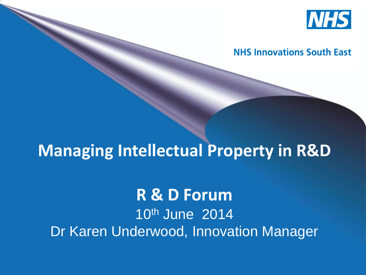

#### **NHS Innovations South East**

### **Managing Intellectual Property in R&D**

#### **R & D Forum** 10th June 2014 Dr Karen Underwood, Innovation Manager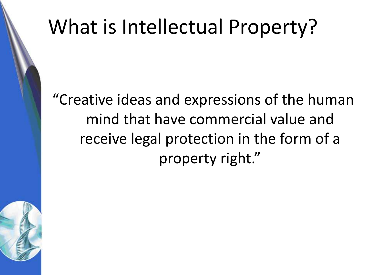# What is Intellectual Property?

"Creative ideas and expressions of the human mind that have commercial value and receive legal protection in the form of a property right."

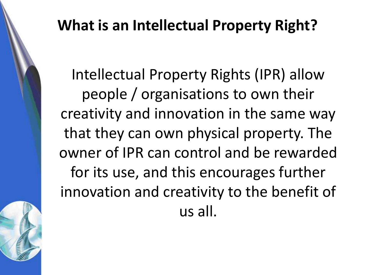#### **What is an Intellectual Property Right?**

Intellectual Property Rights (IPR) allow people / organisations to own their creativity and innovation in the same way that they can own physical property. The owner of IPR can control and be rewarded for its use, and this encourages further innovation and creativity to the benefit of us all.

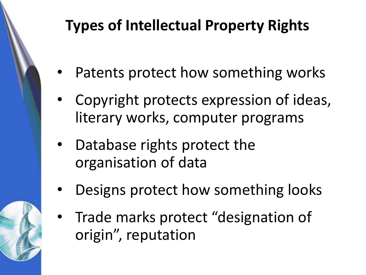### **Types of Intellectual Property Rights**

- Patents protect how something works
- Copyright protects expression of ideas, literary works, computer programs
- Database rights protect the organisation of data
- Designs protect how something looks
- Trade marks protect "designation of origin", reputation

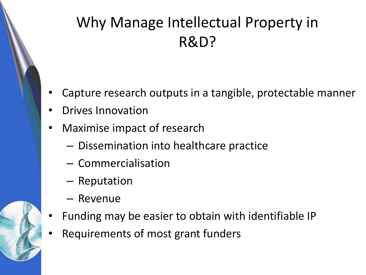### Why Manage Intellectual Property in R&D?

- Capture research outputs in a tangible, protectable manner
- Drives Innovation
- Maximise impact of research
	- Dissemination into healthcare practice
	- Commercialisation
	- Reputation
	- Revenue
- Funding may be easier to obtain with identifiable IP
- Requirements of most grant funders

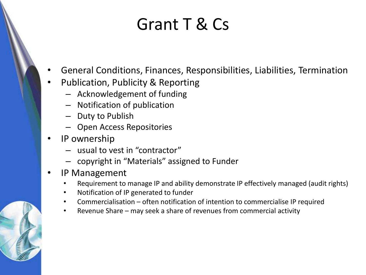### Grant T & Cs

- General Conditions, Finances, Responsibilities, Liabilities, Termination
- Publication, Publicity & Reporting
	- Acknowledgement of funding
	- Notification of publication
	- Duty to Publish
	- Open Access Repositories
- IP ownership
	- usual to vest in "contractor"
	- copyright in "Materials" assigned to Funder
- IP Management
	- Requirement to manage IP and ability demonstrate IP effectively managed (audit rights)
	- Notification of IP generated to funder
	- Commercialisation often notification of intention to commercialise IP required
	- Revenue Share may seek a share of revenues from commercial activity

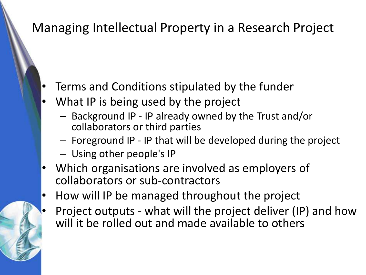#### Managing Intellectual Property in a Research Project

- Terms and Conditions stipulated by the funder
- What IP is being used by the project
	- Background IP IP already owned by the Trust and/or collaborators or third parties
	- Foreground IP IP that will be developed during the project
	- Using other people's IP
- Which organisations are involved as employers of collaborators or sub-contractors
- How will IP be managed throughout the project
- Project outputs what will the project deliver (IP) and how will it be rolled out and made available to others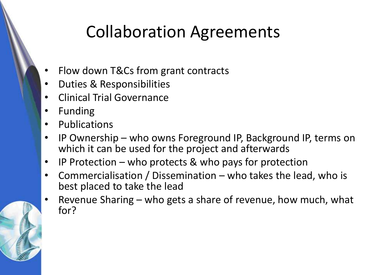### Collaboration Agreements

- Flow down T&Cs from grant contracts
- Duties & Responsibilities
- Clinical Trial Governance
- Funding
- Publications
- IP Ownership who owns Foreground IP, Background IP, terms on which it can be used for the project and afterwards
- IP Protection who protects & who pays for protection
- Commercialisation / Dissemination who takes the lead, who is best placed to take the lead
- Revenue Sharing who gets a share of revenue, how much, what for?

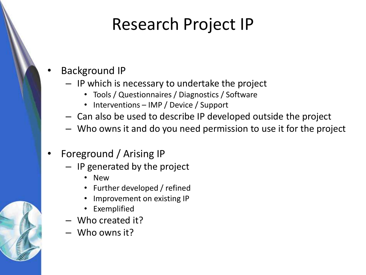### Research Project IP

- Background IP
	- IP which is necessary to undertake the project
		- Tools / Questionnaires / Diagnostics / Software
		- Interventions IMP / Device / Support
	- Can also be used to describe IP developed outside the project
	- Who owns it and do you need permission to use it for the project
- Foreground / Arising IP
	- IP generated by the project
		- New
		- Further developed / refined
		- Improvement on existing IP
		- Exemplified
	- Who created it?
	- Who owns it?

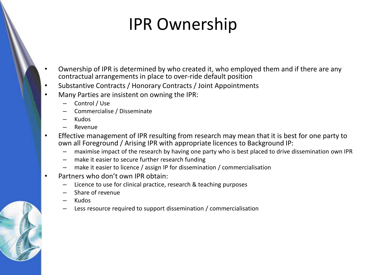### IPR Ownership

- Ownership of IPR is determined by who created it, who employed them and if there are any contractual arrangements in place to over-ride default position
- Substantive Contracts / Honorary Contracts / Joint Appointments
- Many Parties are insistent on owning the IPR:
	- Control / Use
	- Commercialise / Disseminate
	- Kudos
	- Revenue
- Effective management of IPR resulting from research may mean that it is best for one party to own all Foreground / Arising IPR with appropriate licences to Background IP:
	- maximise impact of the research by having one party who is best placed to drive dissemination own IPR
	- make it easier to secure further research funding
	- make it easier to licence / assign IP for dissemination / commercialisation
- Partners who don't own IPR obtain:
	- Licence to use for clinical practice, research & teaching purposes
	- Share of revenue
	- Kudos
	- Less resource required to support dissemination / commercialisation

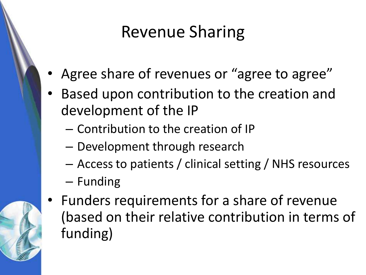### Revenue Sharing

- Agree share of revenues or "agree to agree"
- Based upon contribution to the creation and development of the IP
	- Contribution to the creation of IP
	- Development through research
	- Access to patients / clinical setting / NHS resources
	- Funding



Funders requirements for a share of revenue (based on their relative contribution in terms of funding)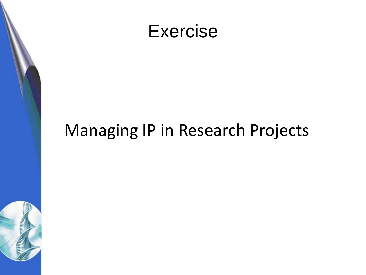



### Managing IP in Research Projects